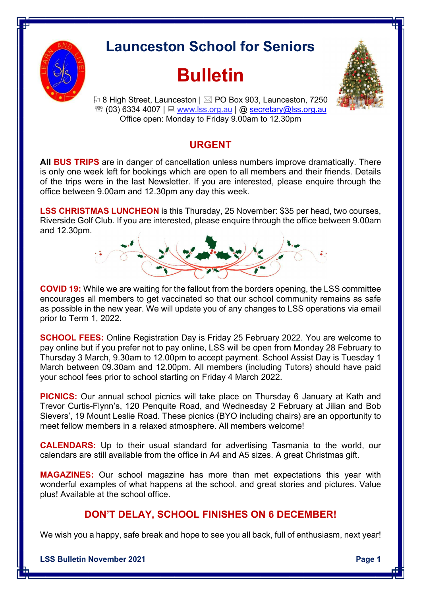

## **Launceston School for Seniors**

## **Bulletin**



**[** $\overline{v}$  8 High Street, Launceston |  $\overline{\boxtimes}$  PO Box 903, Launceston, 7250  $\mathcal{R}(03)$  6334 4007 |  $\Box$  www.lss.org.au |  $\omega$  secretary $\omega$ lss.org.au Office open: Monday to Friday 9.00am to 12.30pm

## **URGENT**

**All BUS TRIPS** are in danger of cancellation unless numbers improve dramatically. There is only one week left for bookings which are open to all members and their friends. Details of the trips were in the last Newsletter. If you are interested, please enquire through the office between 9.00am and 12.30pm any day this week.

**LSS CHRISTMAS LUNCHEON** is this Thursday, 25 November: \$35 per head, two courses, Riverside Golf Club. If you are interested, please enquire through the office between 9.00am and 12.30pm.



**COVID 19:** While we are waiting for the fallout from the borders opening, the LSS committee encourages all members to get vaccinated so that our school community remains as safe as possible in the new year. We will update you of any changes to LSS operations via email prior to Term 1, 2022.

**SCHOOL FEES:** Online Registration Day is Friday 25 February 2022. You are welcome to pay online but if you prefer not to pay online, LSS will be open from Monday 28 February to Thursday 3 March, 9.30am to 12.00pm to accept payment. School Assist Day is Tuesday 1 March between 09.30am and 12.00pm. All members (including Tutors) should have paid your school fees prior to school starting on Friday 4 March 2022.

**PICNICS:** Our annual school picnics will take place on Thursday 6 January at Kath and Trevor Curtis-Flynn's, 120 Penquite Road, and Wednesday 2 February at Jilian and Bob Sievers', 19 Mount Leslie Road. These picnics (BYO including chairs) are an opportunity to meet fellow members in a relaxed atmosphere. All members welcome!

**CALENDARS:** Up to their usual standard for advertising Tasmania to the world, our calendars are still available from the office in A4 and A5 sizes. A great Christmas gift.

**MAGAZINES:** Our school magazine has more than met expectations this year with wonderful examples of what happens at the school, and great stories and pictures. Value plus! Available at the school office.

## **DON'T DELAY, SCHOOL FINISHES ON 6 DECEMBER!**

We wish you a happy, safe break and hope to see you all back, full of enthusiasm, next year!

**LSS Bulletin November 2021 Page 1**